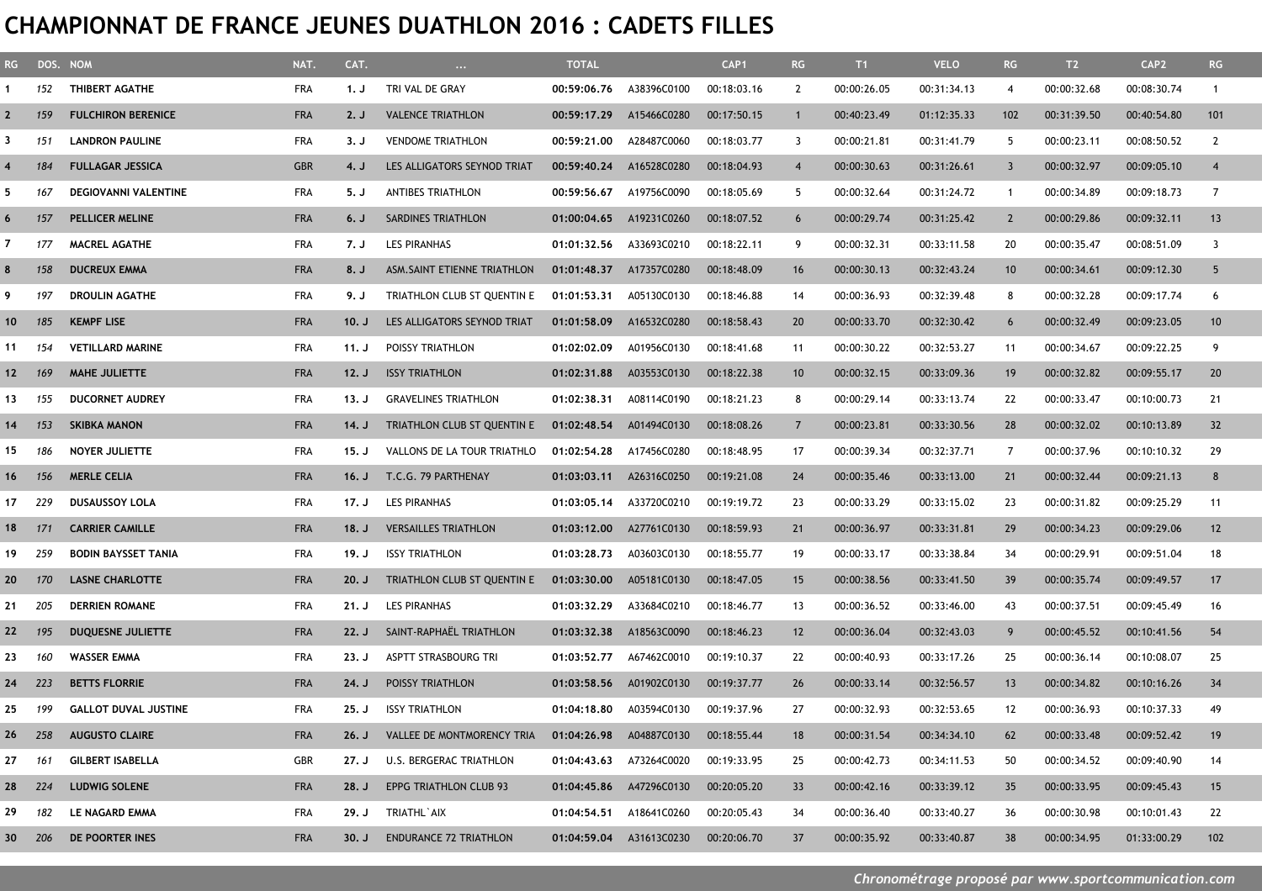## **CHAMPIONNAT DE FRANCE JEUNES DUATHLON 2016 : CADETS FILLES**

| RG              |       | DOS. NOM                    | NAT.       | CAT.  | $\cdots$                      | <b>TOTAL</b>            |                         | CAP <sub>1</sub> | RG              | $ T1\rangle$ | <b>VELO</b> | RG                      | T2          | CAP <sub>2</sub> | RG              |
|-----------------|-------|-----------------------------|------------|-------|-------------------------------|-------------------------|-------------------------|------------------|-----------------|--------------|-------------|-------------------------|-------------|------------------|-----------------|
|                 | 152   | THIBERT AGATHE              | FRA        | 1. J  | TRI VAL DE GRAY               | 00:59:06.76             | A38396C0100             | 00:18:03.16      | 2               | 00:00:26.05  | 00:31:34.13 | $\overline{4}$          | 00:00:32.68 | 00:08:30.74      | $\mathbf{1}$    |
| $\mathbf{2}$    | 159   | <b>FULCHIRON BERENICE</b>   | <b>FRA</b> | 2. J  | <b>VALENCE TRIATHLON</b>      | 00:59:17.29             | A15466C0280             | 00:17:50.15      |                 | 00:40:23.49  | 01:12:35.33 | 102                     | 00:31:39.50 | 00:40:54.80      | 101             |
| 3               | 151   | <b>LANDRON PAULINE</b>      | <b>FRA</b> | 3. J  | <b>VENDOME TRIATHLON</b>      | 00:59:21.00             | A28487C0060             | 00:18:03.77      | 3               | 00:00:21.81  | 00:31:41.79 | 5                       | 00:00:23.11 | 00:08:50.52      | $\mathbf{2}$    |
|                 | 184   | <b>FULLAGAR JESSICA</b>     | <b>GBR</b> | 4. J  | LES ALLIGATORS SEYNOD TRIAT   | 00:59:40.24             | A16528C0280             | 00:18:04.93      | $\overline{4}$  | 00:00:30.63  | 00:31:26.61 | $\overline{\mathbf{3}}$ | 00:00:32.97 | 00:09:05.10      | $\overline{4}$  |
| 5               | 167   | DEGIOVANNI VALENTINE        | <b>FRA</b> | 5. J  | <b>ANTIBES TRIATHLON</b>      | 00:59:56.67             | A19756C0090             | 00:18:05.69      | 5               | 00:00:32.64  | 00:31:24.72 | $\overline{1}$          | 00:00:34.89 | 00:09:18.73      | $\overline{7}$  |
| 6               | 157   | <b>PELLICER MELINE</b>      | <b>FRA</b> | 6. J  | SARDINES TRIATHLON            | 01:00:04.65             | A19231C0260             | 00:18:07.52      | 6               | 00:00:29.74  | 00:31:25.42 | $\overline{2}$          | 00:00:29.86 | 00:09:32.11      | 13              |
| $\overline{7}$  | 177   | <b>MACREL AGATHE</b>        | <b>FRA</b> | 7. J  | <b>LES PIRANHAS</b>           | 01:01:32.56             | A33693C0210             | 00:18:22.11      | 9               | 00:00:32.31  | 00:33:11.58 | 20                      | 00:00:35.47 | 00:08:51.09      | $\overline{3}$  |
| 8               | 158   | <b>DUCREUX EMMA</b>         | <b>FRA</b> | 8. J  | ASM. SAINT ETIENNE TRIATHLON  | 01:01:48.37             | A17357C0280             | 00:18:48.09      | 16              | 00:00:30.13  | 00:32:43.24 | 10                      | 00:00:34.61 | 00:09:12.30      | 5 <sup>5</sup>  |
| 9               | 197   | DROULIN AGATHE              | FRA        | 9. J  | TRIATHLON CLUB ST QUENTIN E   | 01:01:53.31             | A05130C0130             | 00:18:46.88      | 14              | 00:00:36.93  | 00:32:39.48 | 8                       | 00:00:32.28 | 00:09:17.74      | 6               |
| 10 <sup>°</sup> | 185   | <b>KEMPF LISE</b>           | <b>FRA</b> | 10. J | LES ALLIGATORS SEYNOD TRIAT   | 01:01:58.09             | A16532C0280             | 00:18:58.43      | 20              | 00:00:33.70  | 00:32:30.42 | 6                       | 00:00:32.49 | 00:09:23.05      | 10 <sup>°</sup> |
| 11              | 154   | <b>VETILLARD MARINE</b>     | <b>FRA</b> | 11. J | POISSY TRIATHLON              | 01:02:02.09             | A01956C0130             | 00:18:41.68      | 11              | 00:00:30.22  | 00:32:53.27 | 11                      | 00:00:34.67 | 00:09:22.25      | 9               |
| 12 <sub>2</sub> | - 169 | <b>MAHE JULIETTE</b>        | <b>FRA</b> | 12. J | <b>ISSY TRIATHLON</b>         | 01:02:31.88             | A03553C0130             | 00:18:22.38      | 10 <sup>°</sup> | 00:00:32.15  | 00:33:09.36 | 19                      | 00:00:32.82 | 00:09:55.17      | 20              |
| 13              | 155   | <b>DUCORNET AUDREY</b>      | <b>FRA</b> | 13. J | <b>GRAVELINES TRIATHLON</b>   | 01:02:38.31             | A08114C0190             | 00:18:21.23      | 8               | 00:00:29.14  | 00:33:13.74 | 22                      | 00:00:33.47 | 00:10:00.73      | 21              |
| 14              | 153   | <b>SKIBKA MANON</b>         | <b>FRA</b> | 14. J | TRIATHLON CLUB ST QUENTIN E   | 01:02:48.54             | A01494C0130             | 00:18:08.26      | $\overline{7}$  | 00:00:23.81  | 00:33:30.56 | 28                      | 00:00:32.02 | 00:10:13.89      | 32              |
| 15              | 186   | <b>NOYER JULIETTE</b>       | FRA        | 15. J | VALLONS DE LA TOUR TRIATHLO   | 01:02:54.28             | A17456C0280             | 00:18:48.95      | 17              | 00:00:39.34  | 00:32:37.71 | 7                       | 00:00:37.96 | 00:10:10.32      | 29              |
| 16              | 156   | <b>MERLE CELIA</b>          | <b>FRA</b> | 16. J | T.C.G. 79 PARTHENAY           |                         | 01:03:03.11 A26316C0250 | 00:19:21.08      | 24              | 00:00:35.46  | 00:33:13.00 | 21                      | 00:00:32.44 | 00:09:21.13      | 8               |
| 17              | 229   | <b>DUSAUSSOY LOLA</b>       | FRA        | 17. J | LES PIRANHAS                  | 01:03:05.14             | A33720C0210             | 00:19:19.72      | 23              | 00:00:33.29  | 00:33:15.02 | 23                      | 00:00:31.82 | 00:09:25.29      | 11              |
| 18              | 171   | <b>CARRIER CAMILLE</b>      | <b>FRA</b> | 18. J | <b>VERSAILLES TRIATHLON</b>   | 01:03:12.00             | A27761C0130             | 00:18:59.93      | 21              | 00:00:36.97  | 00:33:31.81 | 29                      | 00:00:34.23 | 00:09:29.06      | 12              |
| 19              | 259   | <b>BODIN BAYSSET TANIA</b>  | <b>FRA</b> | 19. J | <b>ISSY TRIATHLON</b>         | 01:03:28.73             | A03603C0130             | 00:18:55.77      | 19              | 00:00:33.17  | 00:33:38.84 | 34                      | 00:00:29.91 | 00:09:51.04      | 18              |
| 20              | 170   | <b>LASNE CHARLOTTE</b>      | <b>FRA</b> | 20. J | TRIATHLON CLUB ST QUENTIN E   | 01:03:30.00             | A05181C0130             | 00:18:47.05      | 15              | 00:00:38.56  | 00:33:41.50 | -39                     | 00:00:35.74 | 00:09:49.57      | 17              |
| 21              | 205   | <b>DERRIEN ROMANE</b>       | <b>FRA</b> | 21. J | LES PIRANHAS                  | 01:03:32.29             | A33684C0210             | 00:18:46.77      | 13              | 00:00:36.52  | 00:33:46.00 | 43                      | 00:00:37.51 | 00:09:45.49      | 16              |
| 22              | 195   | DUQUESNE JULIETTE           | <b>FRA</b> | 22. J | SAINT-RAPHAËL TRIATHLON       | 01:03:32.38             | A18563C0090             | 00:18:46.23      | 12              | 00:00:36.04  | 00:32:43.03 | -9                      | 00:00:45.52 | 00:10:41.56      | 54              |
| 23              | 160   | <b>WASSER EMMA</b>          | FRA        | 23. J | ASPTT STRASBOURG TRI          | 01:03:52.77             | A67462C0010             | 00:19:10.37      | 22              | 00:00:40.93  | 00:33:17.26 | 25                      | 00:00:36.14 | 00:10:08.07      | 25              |
| 24              | 223   | <b>BETTS FLORRIE</b>        | <b>FRA</b> | 24. J | POISSY TRIATHLON              | 01:03:58.56             | A01902C0130             | 00:19:37.77      | 26              | 00:00:33.14  | 00:32:56.57 | 13                      | 00:00:34.82 | 00:10:16.26      | 34              |
| 25              | 199   | <b>GALLOT DUVAL JUSTINE</b> | <b>FRA</b> | 25. J | <b>ISSY TRIATHLON</b>         | 01:04:18.80             | A03594C0130             | 00:19:37.96      | 27              | 00:00:32.93  | 00:32:53.65 | 12                      | 00:00:36.93 | 00:10:37.33      | 49              |
| 26              | 258   | <b>AUGUSTO CLAIRE</b>       | <b>FRA</b> | 26. J | VALLEE DE MONTMORENCY TRIA    | 01:04:26.98 A04887C0130 |                         | 00:18:55.44      | 18              | 00:00:31.54  | 00:34:34.10 | 62                      | 00:00:33.48 | 00:09:52.42      | 19              |
| 27              | 161   | <b>GILBERT ISABELLA</b>     | GBR        | 27. J | U.S. BERGERAC TRIATHLON       |                         | 01:04:43.63 A73264C0020 | 00:19:33.95      | 25              | 00:00:42.73  | 00:34:11.53 | 50                      | 00:00:34.52 | 00:09:40.90      | 14              |
| 28 224          |       | <b>LUDWIG SOLENE</b>        | <b>FRA</b> | 28. J | <b>EPPG TRIATHLON CLUB 93</b> |                         | 01:04:45.86 A47296C0130 | 00:20:05.20      | 33              | 00:00:42.16  | 00:33:39.12 | 35                      | 00:00:33.95 | 00:09:45.43      | 15              |
| 29              | 182   | LE NAGARD EMMA              | FRA        | 29. J | TRIATHL`AIX                   |                         | 01:04:54.51 A18641C0260 | 00:20:05.43      | 34              | 00:00:36.40  | 00:33:40.27 | 36                      | 00:00:30.98 | 00:10:01.43      | 22              |
| 30 206          |       | DE POORTER INES             | <b>FRA</b> | 30. J | <b>ENDURANCE 72 TRIATHLON</b> |                         | 01:04:59.04 A31613C0230 | 00:20:06.70      | 37              | 00:00:35.92  | 00:33:40.87 | 38                      | 00:00:34.95 | 01:33:00.29      | 102             |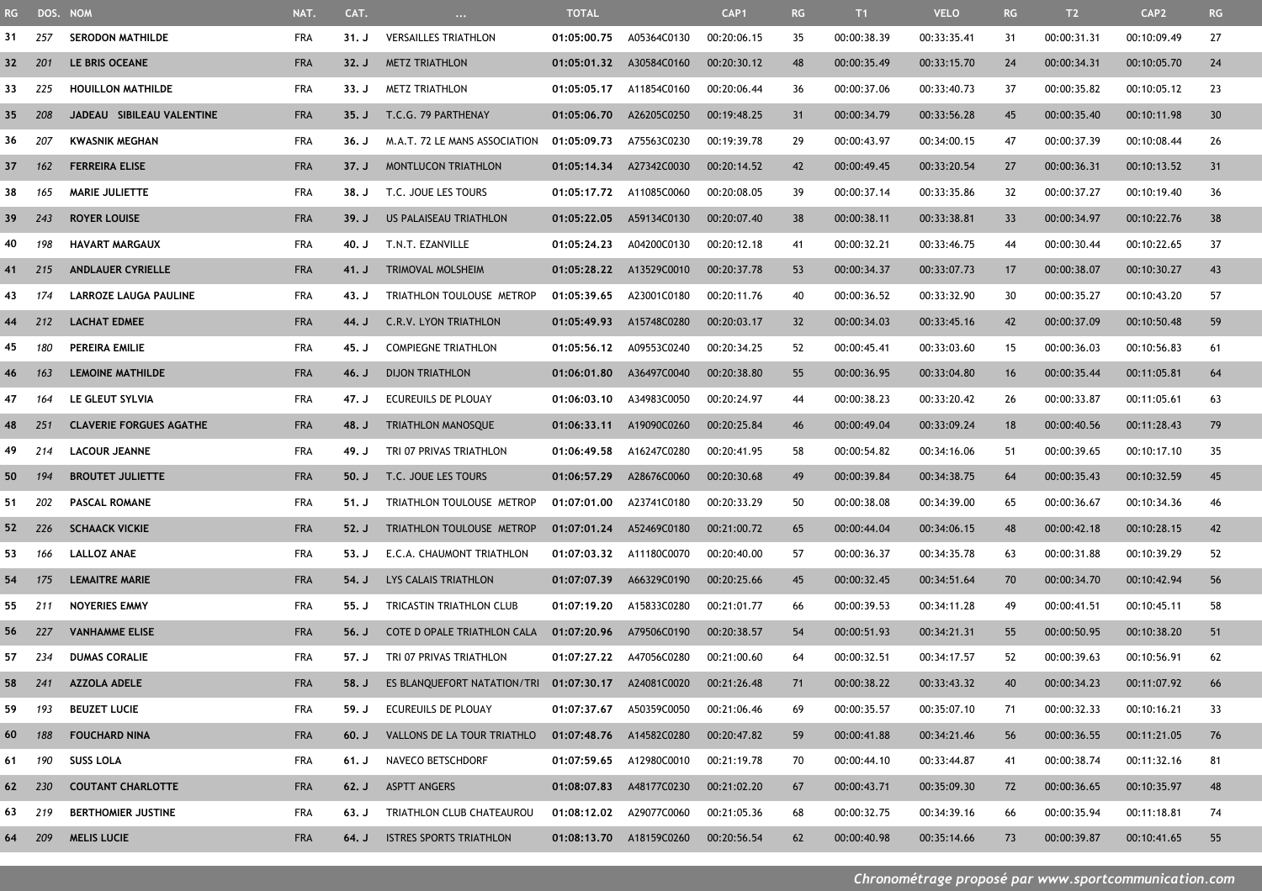| RG -   | DOS. NOM |                                | NAT.       | CAT.  | $\ldots$                                            | <b>TOTAL</b>            |                         | CAP <sub>1</sub> | RG  | T1          | <b>VELO</b> | RG | T2          | CAP <sub>2</sub> | RG |
|--------|----------|--------------------------------|------------|-------|-----------------------------------------------------|-------------------------|-------------------------|------------------|-----|-------------|-------------|----|-------------|------------------|----|
| 31     | 257      | <b>SERODON MATHILDE</b>        | <b>FRA</b> | 31. J | <b>VERSAILLES TRIATHLON</b>                         | 01:05:00.75             | A05364C0130             | 00:20:06.15      | 35  | 00:00:38.39 | 00:33:35.41 | 31 | 00:00:31.31 | 00:10:09.49      | 27 |
| 32     | - 201    | LE BRIS OCEANE                 | <b>FRA</b> | 32. J | <b>METZ TRIATHLON</b>                               | 01:05:01.32 A30584C0160 |                         | 00:20:30.12      | 48  | 00:00:35.49 | 00:33:15.70 | 24 | 00:00:34.31 | 00:10:05.70      | 24 |
| 33     | 225      | <b>HOUILLON MATHILDE</b>       | <b>FRA</b> | 33. J | <b>METZ TRIATHLON</b>                               | 01:05:05.17             | A11854C0160             | 00:20:06.44      | 36  | 00:00:37.06 | 00:33:40.73 | 37 | 00:00:35.82 | 00:10:05.12      | 23 |
| 35     | 208      | JADEAU SIBILEAU VALENTINE      | <b>FRA</b> | 35. J | T.C.G. 79 PARTHENAY                                 | 01:05:06.70             | A26205C0250             | 00:19:48.25      | 31  | 00:00:34.79 | 00:33:56.28 | 45 | 00:00:35.40 | 00:10:11.98      | 30 |
| 36     | 207      | <b>KWASNIK MEGHAN</b>          | FRA        | 36. J | M.A.T. 72 LE MANS ASSOCIATION                       | 01:05:09.73             | A75563C0230             | 00:19:39.78      | 29  | 00:00:43.97 | 00:34:00.15 | 47 | 00:00:37.39 | 00:10:08.44      | 26 |
| 37     | 162      | <b>FERREIRA ELISE</b>          | <b>FRA</b> | 37. J | <b>MONTLUCON TRIATHLON</b>                          | 01:05:14.34             | A27342C0030             | 00:20:14.52      | 42  | 00:00:49.45 | 00:33:20.54 | 27 | 00:00:36.31 | 00:10:13.52      | 31 |
| 38     | 165      | <b>MARIE JULIETTE</b>          | <b>FRA</b> | 38. J | T.C. JOUE LES TOURS                                 | 01:05:17.72 A11085C0060 |                         | 00:20:08.05      | 39  | 00:00:37.14 | 00:33:35.86 | 32 | 00:00:37.27 | 00:10:19.40      | 36 |
| 39     | 243      | <b>ROYER LOUISE</b>            | <b>FRA</b> | 39. J | US PALAISEAU TRIATHLON                              | 01:05:22.05             | A59134C0130             | 00:20:07.40      | 38  | 00:00:38.11 | 00:33:38.81 | 33 | 00:00:34.97 | 00:10:22.76      | 38 |
| 40     | 198      | <b>HAVART MARGAUX</b>          | <b>FRA</b> | 40. J | T.N.T. EZANVILLE                                    | 01:05:24.23             | A04200C0130             | 00:20:12.18      | 41  | 00:00:32.21 | 00:33:46.75 | 44 | 00:00:30.44 | 00:10:22.65      | 37 |
| 41     | 215      | <b>ANDLAUER CYRIELLE</b>       | <b>FRA</b> | 41. J | TRIMOVAL MOLSHEIM                                   | 01:05:28.22 A13529C0010 |                         | 00:20:37.78      | 53  | 00:00:34.37 | 00:33:07.73 | 17 | 00:00:38.07 | 00:10:30.27      | 43 |
| 43     | 174      | <b>LARROZE LAUGA PAULINE</b>   | <b>FRA</b> | 43. J | TRIATHLON TOULOUSE METROP                           | 01:05:39.65             | A23001C0180             | 00:20:11.76      | 40  | 00:00:36.52 | 00:33:32.90 | 30 | 00:00:35.27 | 00:10:43.20      | 57 |
| 44     | 212      | <b>LACHAT EDMEE</b>            | <b>FRA</b> | 44. J | C.R.V. LYON TRIATHLON                               | 01:05:49.93             | A15748C0280             | 00:20:03.17      | 32  | 00:00:34.03 | 00:33:45.16 | 42 | 00:00:37.09 | 00:10:50.48      | 59 |
| 45     | 180      | PEREIRA EMILIE                 | <b>FRA</b> | 45. J | <b>COMPIEGNE TRIATHLON</b>                          | 01:05:56.12             | A09553C0240             | 00:20:34.25      | 52  | 00:00:45.41 | 00:33:03.60 | 15 | 00:00:36.03 | 00:10:56.83      | 61 |
| 46     | 163      | <b>LEMOINE MATHILDE</b>        | <b>FRA</b> | 46. J | <b>DIJON TRIATHLON</b>                              | 01:06:01.80             | A36497C0040             | 00:20:38.80      | 55  | 00:00:36.95 | 00:33:04.80 | 16 | 00:00:35.44 | 00:11:05.81      | 64 |
| 47     | 164      | LE GLEUT SYLVIA                | <b>FRA</b> | 47. J | ECUREUILS DE PLOUAY                                 | 01:06:03.10             | A34983C0050             | 00:20:24.97      | -44 | 00:00:38.23 | 00:33:20.42 | 26 | 00:00:33.87 | 00:11:05.61      | 63 |
| 48     | 251      | <b>CLAVERIE FORGUES AGATHE</b> | <b>FRA</b> | 48. J | <b>TRIATHLON MANOSQUE</b>                           | 01:06:33.11 A19090C0260 |                         | 00:20:25.84      | 46  | 00:00:49.04 | 00:33:09.24 | 18 | 00:00:40.56 | 00:11:28.43      | 79 |
| 49     | 214      | <b>LACOUR JEANNE</b>           | <b>FRA</b> | 49. J | TRI 07 PRIVAS TRIATHLON                             | 01:06:49.58             | A16247C0280             | 00:20:41.95      | 58  | 00:00:54.82 | 00:34:16.06 | 51 | 00:00:39.65 | 00:10:17.10      | 35 |
| 50     | 194      | <b>BROUTET JULIETTE</b>        | <b>FRA</b> | 50, J | T.C. JOUE LES TOURS                                 | 01:06:57.29             | A28676C0060             | 00:20:30.68      | 49  | 00:00:39.84 | 00:34:38.75 | 64 | 00:00:35.43 | 00:10:32.59      | 45 |
| 51     | 202      | <b>PASCAL ROMANE</b>           | FRA        | 51. J | TRIATHLON TOULOUSE METROP                           | 01:07:01.00             | A23741C0180             | 00:20:33.29      | 50  | 00:00:38.08 | 00:34:39.00 | 65 | 00:00:36.67 | 00:10:34.36      | 46 |
| 52     | - 226    | <b>SCHAACK VICKIE</b>          | <b>FRA</b> | 52. J | TRIATHLON TOULOUSE METROP                           | 01:07:01.24             | A52469C0180             | 00:21:00.72      | 65  | 00:00:44.04 | 00:34:06.15 | 48 | 00:00:42.18 | 00:10:28.15      | 42 |
| 53     | 166      | <b>LALLOZ ANAE</b>             | FRA        | 53. J | E.C.A. CHAUMONT TRIATHLON                           | 01:07:03.32             | A11180C0070             | 00:20:40.00      | 57  | 00:00:36.37 | 00:34:35.78 | 63 | 00:00:31.88 | 00:10:39.29      | 52 |
| 54     | 175      | <b>LEMAITRE MARIE</b>          | <b>FRA</b> | 54. J | LYS CALAIS TRIATHLON                                | 01:07:07.39             | A66329C0190             | 00:20:25.66      | 45  | 00:00:32.45 | 00:34:51.64 | 70 | 00:00:34.70 | 00:10:42.94      | 56 |
| 55     | 211      | <b>NOYERIES EMMY</b>           | <b>FRA</b> | 55. J | TRICASTIN TRIATHLON CLUB                            | 01:07:19.20             | A15833C0280             | 00:21:01.77      | 66  | 00:00:39.53 | 00:34:11.28 | 49 | 00:00:41.51 | 00:10:45.11      | 58 |
| 56     | 227      | <b>VANHAMME ELISE</b>          | <b>FRA</b> | 56. J | COTE D OPALE TRIATHLON CALA                         | 01:07:20.96             | A79506C0190             | 00:20:38.57      | 54  | 00:00:51.93 | 00:34:21.31 | 55 | 00:00:50.95 | 00:10:38.20      | 51 |
| 57 234 |          | <b>DUMAS CORALIE</b>           | <b>FRA</b> | 57. J | TRI 07 PRIVAS TRIATHLON                             | 01:07:27.22 A47056C0280 |                         | 00:21:00.60      | 64  | 00:00:32.51 | 00:34:17.57 | 52 | 00:00:39.63 | 00:10:56.91      | 62 |
| 58     | 241      | <b>AZZOLA ADELE</b>            | <b>FRA</b> | 58. J | ES BLANQUEFORT NATATION/TRI 01:07:30.17 A24081C0020 |                         |                         | 00:21:26.48      | 71  | 00:00:38.22 | 00:33:43.32 | 40 | 00:00:34.23 | 00:11:07.92      | 66 |
| 59     | 193      | <b>BEUZET LUCIE</b>            | <b>FRA</b> | 59. J | ECUREUILS DE PLOUAY                                 | 01:07:37.67 A50359C0050 |                         | 00:21:06.46      | 69  | 00:00:35.57 | 00:35:07.10 | 71 | 00:00:32.33 | 00:10:16.21      | 33 |
| 60     | 188      | <b>FOUCHARD NINA</b>           | <b>FRA</b> | 60. J | VALLONS DE LA TOUR TRIATHLO                         | 01:07:48.76 A14582C0280 |                         | 00:20:47.82      | 59  | 00:00:41.88 | 00:34:21.46 | 56 | 00:00:36.55 | 00:11:21.05      | 76 |
| 61     | 190      | <b>SUSS LOLA</b>               | <b>FRA</b> | 61. J | NAVECO BETSCHDORF                                   |                         | 01:07:59.65 A12980C0010 | 00:21:19.78      | 70  | 00:00:44.10 | 00:33:44.87 | 41 | 00:00:38.74 | 00:11:32.16      | 81 |
| 62 230 |          | <b>COUTANT CHARLOTTE</b>       | <b>FRA</b> | 62. J | <b>ASPTT ANGERS</b>                                 |                         | 01:08:07.83 A48177C0230 | 00:21:02.20      | 67  | 00:00:43.71 | 00:35:09.30 | 72 | 00:00:36.65 | 00:10:35.97      | 48 |
| 63 219 |          | <b>BERTHOMIER JUSTINE</b>      | FRA        | 63. J | TRIATHLON CLUB CHATEAUROU                           | 01:08:12.02 A29077C0060 |                         | 00:21:05.36      | 68  | 00:00:32.75 | 00:34:39.16 | 66 | 00:00:35.94 | 00:11:18.81      | 74 |
| 64 209 |          | <b>MELIS LUCIE</b>             | <b>FRA</b> | 64. J | <b>ISTRES SPORTS TRIATHLON</b>                      |                         | 01:08:13.70 A18159C0260 | 00:20:56.54      | 62  | 00:00:40.98 | 00:35:14.66 | 73 | 00:00:39.87 | 00:10:41.65      | 55 |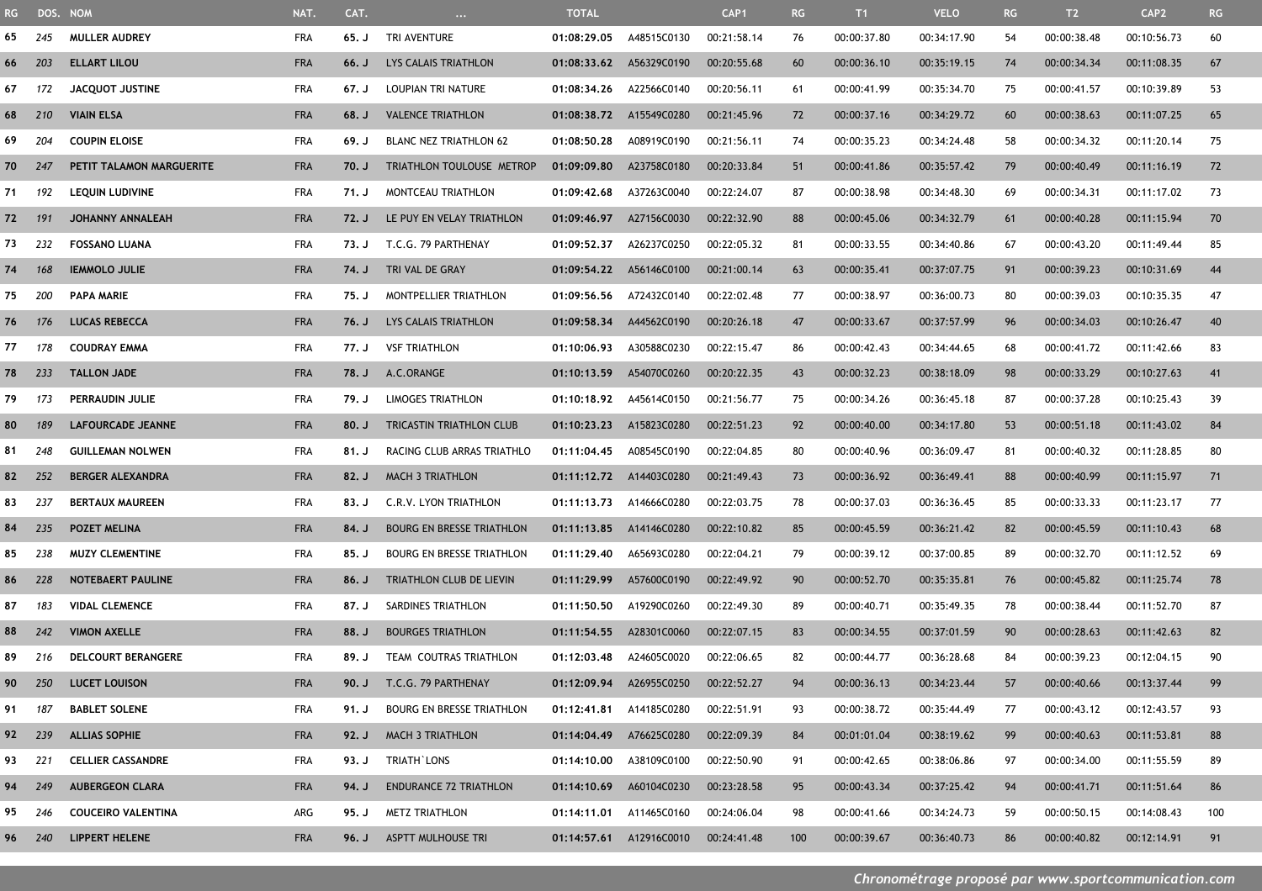| <b>RG</b> | DOS. NOM |                           | NAT.       | CAT.  | $\cdots$                         | <b>TOTAL</b>            |                         | CAP <sub>1</sub> | RG  | T1          | <b>VELO</b> | RG | T2          | CAP <sub>2</sub> | RG  |
|-----------|----------|---------------------------|------------|-------|----------------------------------|-------------------------|-------------------------|------------------|-----|-------------|-------------|----|-------------|------------------|-----|
| 65        | 245      | <b>MULLER AUDREY</b>      | FRA        | 65. J | TRI AVENTURE                     | 01:08:29.05             | A48515C0130             | 00:21:58.14      | 76  | 00:00:37.80 | 00:34:17.90 | 54 | 00:00:38.48 | 00:10:56.73      | 60  |
| 66        | 203      | ELLART LILOU              | <b>FRA</b> | 66. J | LYS CALAIS TRIATHLON             | 01:08:33.62 A56329C0190 |                         | 00:20:55.68      | 60  | 00:00:36.10 | 00:35:19.15 | 74 | 00:00:34.34 | 00:11:08.35      | 67  |
| 67        | 172      | <b>JACQUOT JUSTINE</b>    | FRA        | 67. J | LOUPIAN TRI NATURE               | 01:08:34.26             | A22566C0140             | 00:20:56.11      | 61  | 00:00:41.99 | 00:35:34.70 | 75 | 00:00:41.57 | 00:10:39.89      | 53  |
| 68        | 210      | <b>VIAIN ELSA</b>         | <b>FRA</b> | 68. J | <b>VALENCE TRIATHLON</b>         | 01:08:38.72             | A15549C0280             | 00:21:45.96      | 72  | 00:00:37.16 | 00:34:29.72 | 60 | 00:00:38.63 | 00:11:07.25      | 65  |
| 69        | 204      | <b>COUPIN ELOISE</b>      | <b>FRA</b> | 69. J | <b>BLANC NEZ TRIATHLON 62</b>    | 01:08:50.28             | A08919C0190             | 00:21:56.11      | 74  | 00:00:35.23 | 00:34:24.48 | 58 | 00:00:34.32 | 00:11:20.14      | 75  |
| 70        | 247      | PETIT TALAMON MARGUERITE  | <b>FRA</b> | 70. J | TRIATHLON TOULOUSE METROP        | 01:09:09.80             | A23758C0180             | 00:20:33.84      | 51  | 00:00:41.86 | 00:35:57.42 | 79 | 00:00:40.49 | 00:11:16.19      | 72  |
| 71        | 192      | <b>LEQUIN LUDIVINE</b>    | <b>FRA</b> | 71. J | MONTCEAU TRIATHLON               | 01:09:42.68             | A37263C0040             | 00:22:24.07      | 87  | 00:00:38.98 | 00:34:48.30 | 69 | 00:00:34.31 | 00:11:17.02      | 73  |
| 72        | - 191    | <b>JOHANNY ANNALEAH</b>   | <b>FRA</b> | 72. J | LE PUY EN VELAY TRIATHLON        | 01:09:46.97             | A27156C0030             | 00:22:32.90      | 88  | 00:00:45.06 | 00:34:32.79 | 61 | 00:00:40.28 | 00:11:15.94      | 70  |
| 73        | 232      | <b>FOSSANO LUANA</b>      | <b>FRA</b> | 73. J | T.C.G. 79 PARTHENAY              | 01:09:52.37             | A26237C0250             | 00:22:05.32      | 81  | 00:00:33.55 | 00:34:40.86 | 67 | 00:00:43.20 | 00:11:49.44      | 85  |
| 74        | 168      | <b>IEMMOLO JULIE</b>      | <b>FRA</b> | 74. J | TRI VAL DE GRAY                  | 01:09:54.22             | A56146C0100             | 00:21:00.14      | 63  | 00:00:35.41 | 00:37:07.75 | 91 | 00:00:39.23 | 00:10:31.69      | 44  |
| 75        | 200      | <b>PAPA MARIE</b>         | FRA        | 75. J | MONTPELLIER TRIATHLON            | 01:09:56.56             | A72432C0140             | 00:22:02.48      | 77  | 00:00:38.97 | 00:36:00.73 | 80 | 00:00:39.03 | 00:10:35.35      | 47  |
| 76        | - 176    | <b>LUCAS REBECCA</b>      | <b>FRA</b> | 76. J | LYS CALAIS TRIATHLON             | 01:09:58.34             | A44562C0190             | 00:20:26.18      | 47  | 00:00:33.67 | 00:37:57.99 | 96 | 00:00:34.03 | 00:10:26.47      | 40  |
| 77        | 178      | <b>COUDRAY EMMA</b>       | <b>FRA</b> | 77. J | <b>VSF TRIATHLON</b>             | 01:10:06.93             | A30588C0230             | 00:22:15.47      | 86  | 00:00:42.43 | 00:34:44.65 | 68 | 00:00:41.72 | 00:11:42.66      | 83  |
|           | 78 233   | <b>TALLON JADE</b>        | <b>FRA</b> | 78. J | A.C.ORANGE                       | 01:10:13.59             | A54070C0260             | 00:20:22.35      | 43  | 00:00:32.23 | 00:38:18.09 | 98 | 00:00:33.29 | 00:10:27.63      | 41  |
| 79        | 173      | PERRAUDIN JULIE           | <b>FRA</b> | 79. J | <b>LIMOGES TRIATHLON</b>         | 01:10:18.92             | A45614C0150             | 00:21:56.77      | 75  | 00:00:34.26 | 00:36:45.18 | 87 | 00:00:37.28 | 00:10:25.43      | 39  |
| 80        | 189      | <b>LAFOURCADE JEANNE</b>  | <b>FRA</b> | 80. J | <b>TRICASTIN TRIATHLON CLUB</b>  | 01:10:23.23             | A15823C0280             | 00:22:51.23      | 92  | 00:00:40.00 | 00:34:17.80 | 53 | 00:00:51.18 | 00:11:43.02      | 84  |
| 81        | 248      | <b>GUILLEMAN NOLWEN</b>   | FRA        | 81. J | RACING CLUB ARRAS TRIATHLO       | 01:11:04.45             | A08545C0190             | 00:22:04.85      | 80  | 00:00:40.96 | 00:36:09.47 | 81 | 00:00:40.32 | 00:11:28.85      | 80  |
| 82        | 252      | <b>BERGER ALEXANDRA</b>   | <b>FRA</b> | 82. J | <b>MACH 3 TRIATHLON</b>          | 01:11:12.72 A14403C0280 |                         | 00:21:49.43      | 73  | 00:00:36.92 | 00:36:49.41 | 88 | 00:00:40.99 | 00:11:15.97      | 71  |
| 83        | 237      | <b>BERTAUX MAUREEN</b>    | <b>FRA</b> | 83. J | C.R.V. LYON TRIATHLON            | 01:11:13.73             | A14666C0280             | 00:22:03.75      | 78  | 00:00:37.03 | 00:36:36.45 | 85 | 00:00:33.33 | 00:11:23.17      | 77  |
| 84        | 235      | <b>POZET MELINA</b>       | <b>FRA</b> | 84. J | <b>BOURG EN BRESSE TRIATHLON</b> | 01:11:13.85             | A14146C0280             | 00:22:10.82      | 85  | 00:00:45.59 | 00:36:21.42 | 82 | 00:00:45.59 | 00:11:10.43      | 68  |
| 85        | 238      | <b>MUZY CLEMENTINE</b>    | <b>FRA</b> | 85. J | <b>BOURG EN BRESSE TRIATHLON</b> | 01:11:29.40             | A65693C0280             | 00:22:04.21      | 79  | 00:00:39.12 | 00:37:00.85 | 89 | 00:00:32.70 | 00:11:12.52      | 69  |
| 86        | -228     | <b>NOTEBAERT PAULINE</b>  | <b>FRA</b> | 86. J | TRIATHLON CLUB DE LIEVIN         | 01:11:29.99             | A57600C0190             | 00:22:49.92      | 90  | 00:00:52.70 | 00:35:35.81 | 76 | 00:00:45.82 | 00:11:25.74      | 78  |
| 87        | 183      | <b>VIDAL CLEMENCE</b>     | <b>FRA</b> | 87. J | SARDINES TRIATHLON               | 01:11:50.50             | A19290C0260             | 00:22:49.30      | 89  | 00:00:40.71 | 00:35:49.35 | 78 | 00:00:38.44 | 00:11:52.70      | 87  |
| 88        | 242      | <b>VIMON AXELLE</b>       | <b>FRA</b> | 88. J | <b>BOURGES TRIATHLON</b>         | 01:11:54.55             | A28301C0060             | 00:22:07.15      | 83  | 00:00:34.55 | 00:37:01.59 | 90 | 00:00:28.63 | 00:11:42.63      | 82  |
|           | 89 216   | DELCOURT BERANGERE        | <b>FRA</b> | 89. J | TEAM COUTRAS TRIATHLON           | 01:12:03.48             | A24605C0020             | 00:22:06.65      | 82  | 00:00:44.77 | 00:36:28.68 | 84 | 00:00:39.23 | 00:12:04.15      | 90  |
|           | 90 250   | <b>LUCET LOUISON</b>      | <b>FRA</b> | 90. J | T.C.G. 79 PARTHENAY              |                         | 01:12:09.94 A26955C0250 | 00:22:52.27      | 94  | 00:00:36.13 | 00:34:23.44 | 57 | 00:00:40.66 | 00:13:37.44      | 99  |
| 91 187    |          | <b>BABLET SOLENE</b>      | FRA        | 91. J | <b>BOURG EN BRESSE TRIATHLON</b> | 01:12:41.81 A14185C0280 |                         | 00:22:51.91      | 93  | 00:00:38.72 | 00:35:44.49 | 77 | 00:00:43.12 | 00:12:43.57      | 93  |
|           | 92 239   | <b>ALLIAS SOPHIE</b>      | <b>FRA</b> | 92. J | <b>MACH 3 TRIATHLON</b>          |                         | 01:14:04.49 A76625C0280 | 00:22:09.39      | 84  | 00:01:01.04 | 00:38:19.62 | 99 | 00:00:40.63 | 00:11:53.81      | 88  |
| 93 221    |          | <b>CELLIER CASSANDRE</b>  | <b>FRA</b> | 93. J | TRIATH`LONS                      | 01:14:10.00             | A38109C0100             | 00:22:50.90      | 91  | 00:00:42.65 | 00:38:06.86 | 97 | 00:00:34.00 | 00:11:55.59      | 89  |
|           | 94 249   | <b>AUBERGEON CLARA</b>    | <b>FRA</b> | 94. J | <b>ENDURANCE 72 TRIATHLON</b>    |                         | 01:14:10.69 A60104C0230 | 00:23:28.58      | 95  | 00:00:43.34 | 00:37:25.42 | 94 | 00:00:41.71 | 00:11:51.64      | 86  |
| 95        | 246      | <b>COUCEIRO VALENTINA</b> | ARG        | 95. J | METZ TRIATHLON                   | 01:14:11.01 A11465C0160 |                         | 00:24:06.04      | 98  | 00:00:41.66 | 00:34:24.73 | 59 | 00:00:50.15 | 00:14:08.43      | 100 |
|           | 96 240   | <b>LIPPERT HELENE</b>     | <b>FRA</b> | 96. J | ASPTT MULHOUSE TRI               |                         | 01:14:57.61 A12916C0010 | 00:24:41.48      | 100 | 00:00:39.67 | 00:36:40.73 | 86 | 00:00:40.82 | 00:12:14.91      | 91  |
|           |          |                           |            |       |                                  |                         |                         |                  |     |             |             |    |             |                  |     |